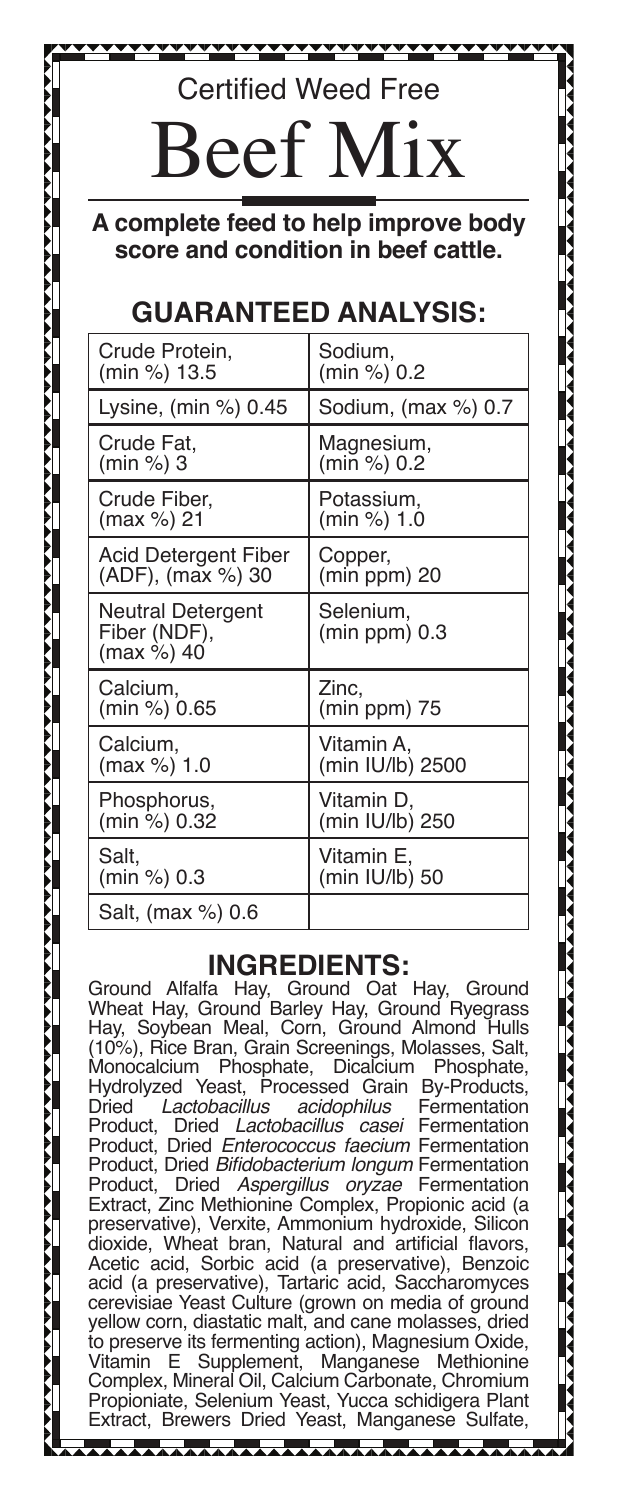## Certified Weed Free

# eef

**A complete feed to help improve body score and condition in beef cattle.**

### **GUARANTEED ANALYSIS:**

| Crude Protein,                                  | Sodium,                      |
|-------------------------------------------------|------------------------------|
| (min %) 13.5                                    | (min %) 0.2                  |
| Lysine, $(min %) 0.45$                          | Sodium, (max %) 0.7          |
| Crude Fat.                                      | Magnesium,                   |
| (min %) 3                                       | (min %) 0.2                  |
| Crude Fiber,                                    | Potassium,                   |
| (max %) 21                                      | (min %) 1.0                  |
| Acid Detergent Fiber                            | Copper,                      |
| (ADF), (max %) 30                               | (min ppm) 20                 |
| Neutral Detergent<br>Fiber (NDF),<br>(max %) 40 | Selenium,<br>$(min ppm)$ 0.3 |
| Calcium,                                        | Zinc,                        |
| (min %) 0.65                                    | $(min ppm)$ 75               |
| Calcium,                                        | Vitamin A,                   |
| (max %) 1.0                                     | (min IU/lb) 2500             |
| Phosphorus,                                     | Vitamin D.                   |
| (min %) 0.32                                    | (min IU/lb) 250              |
| Salt.                                           | Vitamin E.                   |
| (min %) 0.3                                     | (min IU/lb) 50               |
| Salt, (max %) 0.6                               |                              |

#### **INGREDIENTS:**

Ground Alfalfa Hay, Ground Oat Hay, Ground Wheat Hay, Ground Barley Hay, Ground Ryegrass Hay, Soybean Meal, Corn, Ground Almond Hulls (10%), Rice Bran, Grain Screenings, Molasses, Salt, Monocalcium Phosphate, Dicalcium Phosphate, Hydrolyzed Yeast, Processed Grain By-Products,<br>Dried Lactobacillus acidophilus Fermentation Dried *Lactobacillus acidophilus* Fermentation Product, Dried *Lactobacillus casei* Fermentation Product, Dried *Enterococcus faecium* Fermentation Product, Dried Bifidobacterium longum Fermentation<br>Product, Dried Aspergillus oryzae Fermentation Aspergillus oryzae Fermentation Extract, Zinc Methionine Complex, Propionic acid (a preservative), Verxite, Ammonium hydroxide, Silicon dioxide, Wheat bran, Natural and artificial flavors, Acetic acid, Sorbic acid (a preservative), Benzoic acid (a preservative), Tartaric acid, Saccharomyces cerevisiae Yeast Culture (grown on media of ground yellow corn, diastatic malt, and cane molasses, dried to preserve its fermenting action), Magnesium Oxide, Vitamin E Supplement, Complex, Mineral Oil, Calcium Carbonate, Chromium Propioniate, Selenium Yeast, Yucca schidigera Plant Extract, Brewers Dried Yeast, Manganese Sulfate,

<del>…………………………………………………………</del>